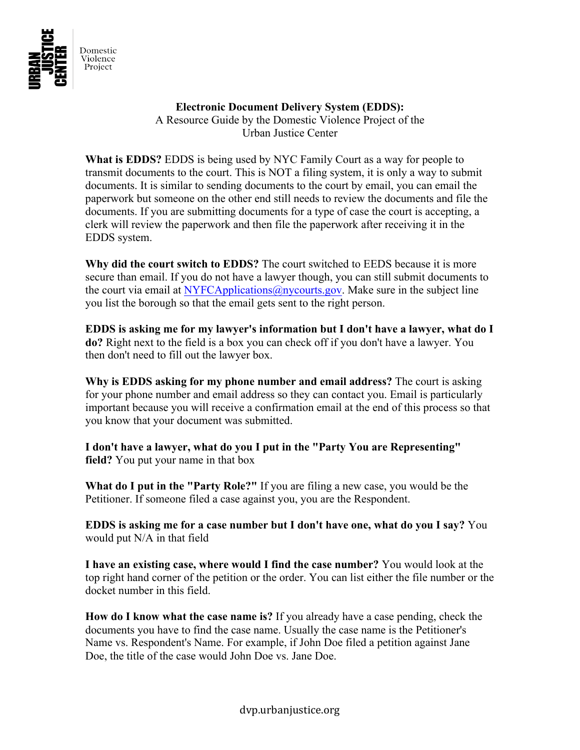

## **Electronic Document Delivery System (EDDS):**

A Resource Guide by the Domestic Violence Project of the Urban Justice Center

**What is EDDS?** EDDS is being used by NYC Family Court as a way for people to transmit documents to the court. This is NOT a filing system, it is only a way to submit documents. It is similar to sending documents to the court by email, you can email the paperwork but someone on the other end still needs to review the documents and file the documents. If you are submitting documents for a type of case the court is accepting, a clerk will review the paperwork and then file the paperwork after receiving it in the EDDS system.

**Why did the court switch to EDDS?** The court switched to EEDS because it is more secure than email. If you do not have a lawyer though, you can still submit documents to the court via email at NYFCApplications  $\omega$  ny courts gov. Make sure in the subject line you list the borough so that the email gets sent to the right person.

**EDDS is asking me for my lawyer's information but I don't have a lawyer, what do I do?** Right next to the field is a box you can check off if you don't have a lawyer. You then don't need to fill out the lawyer box.

**Why is EDDS asking for my phone number and email address?** The court is asking for your phone number and email address so they can contact you. Email is particularly important because you will receive a confirmation email at the end of this process so that you know that your document was submitted.

**I don't have a lawyer, what do you I put in the "Party You are Representing" field?** You put your name in that box

**What do I put in the "Party Role?"** If you are filing a new case, you would be the Petitioner. If someone filed a case against you, you are the Respondent.

**EDDS is asking me for a case number but I don't have one, what do you I say?** You would put N/A in that field

**I have an existing case, where would I find the case number?** You would look at the top right hand corner of the petition or the order. You can list either the file number or the docket number in this field.

**How do I know what the case name is?** If you already have a case pending, check the documents you have to find the case name. Usually the case name is the Petitioner's Name vs. Respondent's Name. For example, if John Doe filed a petition against Jane Doe, the title of the case would John Doe vs. Jane Doe.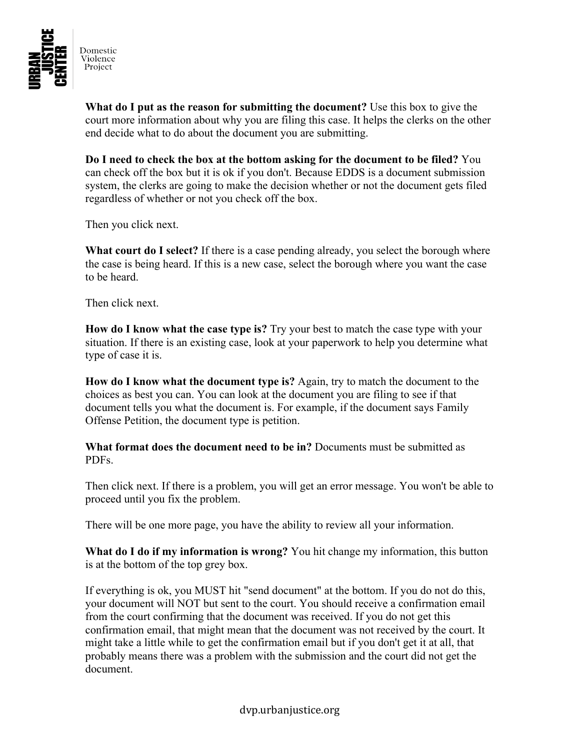

**What do I put as the reason for submitting the document?** Use this box to give the court more information about why you are filing this case. It helps the clerks on the other end decide what to do about the document you are submitting.

**Do I need to check the box at the bottom asking for the document to be filed?** You can check off the box but it is ok if you don't. Because EDDS is a document submission system, the clerks are going to make the decision whether or not the document gets filed regardless of whether or not you check off the box.

Then you click next.

**What court do I select?** If there is a case pending already, you select the borough where the case is being heard. If this is a new case, select the borough where you want the case to be heard.

Then click next.

**How do I know what the case type is?** Try your best to match the case type with your situation. If there is an existing case, look at your paperwork to help you determine what type of case it is.

**How do I know what the document type is?** Again, try to match the document to the choices as best you can. You can look at the document you are filing to see if that document tells you what the document is. For example, if the document says Family Offense Petition, the document type is petition.

**What format does the document need to be in?** Documents must be submitted as PDFs.

Then click next. If there is a problem, you will get an error message. You won't be able to proceed until you fix the problem.

There will be one more page, you have the ability to review all your information.

**What do I do if my information is wrong?** You hit change my information, this button is at the bottom of the top grey box.

If everything is ok, you MUST hit "send document" at the bottom. If you do not do this, your document will NOT but sent to the court. You should receive a confirmation email from the court confirming that the document was received. If you do not get this confirmation email, that might mean that the document was not received by the court. It might take a little while to get the confirmation email but if you don't get it at all, that probably means there was a problem with the submission and the court did not get the document.